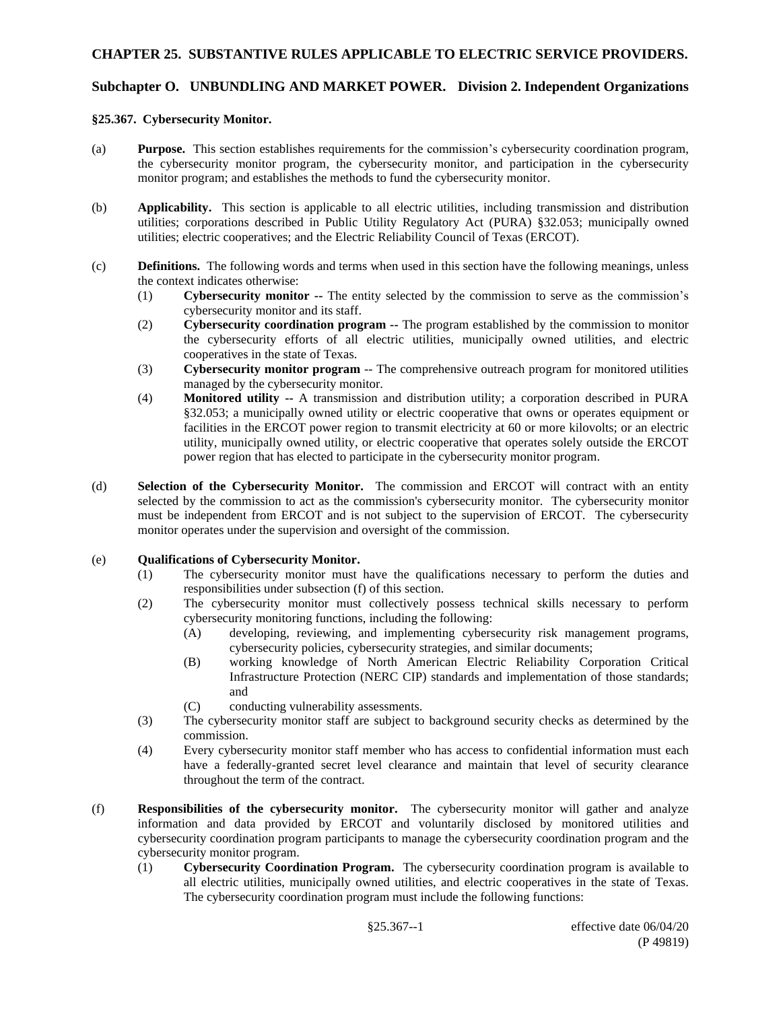# **Subchapter O. UNBUNDLING AND MARKET POWER. Division 2. Independent Organizations**

#### **§25.367. Cybersecurity Monitor.**

- (a) **Purpose.** This section establishes requirements for the commission's cybersecurity coordination program, the cybersecurity monitor program, the cybersecurity monitor, and participation in the cybersecurity monitor program; and establishes the methods to fund the cybersecurity monitor.
- (b) **Applicability.** This section is applicable to all electric utilities, including transmission and distribution utilities; corporations described in Public Utility Regulatory Act (PURA) §32.053; municipally owned utilities; electric cooperatives; and the Electric Reliability Council of Texas (ERCOT).
- (c) **Definitions.** The following words and terms when used in this section have the following meanings, unless the context indicates otherwise:
	- (1) **Cybersecurity monitor --** The entity selected by the commission to serve as the commission's cybersecurity monitor and its staff.
	- (2) **Cybersecurity coordination program --** The program established by the commission to monitor the cybersecurity efforts of all electric utilities, municipally owned utilities, and electric cooperatives in the state of Texas.
	- (3) **Cybersecurity monitor program** -- The comprehensive outreach program for monitored utilities managed by the cybersecurity monitor.
	- (4) **Monitored utility --** A transmission and distribution utility; a corporation described in PURA §32.053; a municipally owned utility or electric cooperative that owns or operates equipment or facilities in the ERCOT power region to transmit electricity at 60 or more kilovolts; or an electric utility, municipally owned utility, or electric cooperative that operates solely outside the ERCOT power region that has elected to participate in the cybersecurity monitor program.
- (d) **Selection of the Cybersecurity Monitor.** The commission and ERCOT will contract with an entity selected by the commission to act as the commission's cybersecurity monitor. The cybersecurity monitor must be independent from ERCOT and is not subject to the supervision of ERCOT. The cybersecurity monitor operates under the supervision and oversight of the commission.

### (e) **Qualifications of Cybersecurity Monitor.**

- (1) The cybersecurity monitor must have the qualifications necessary to perform the duties and responsibilities under subsection (f) of this section.
- (2) The cybersecurity monitor must collectively possess technical skills necessary to perform cybersecurity monitoring functions, including the following:
	- (A) developing, reviewing, and implementing cybersecurity risk management programs, cybersecurity policies, cybersecurity strategies, and similar documents;
	- (B) working knowledge of North American Electric Reliability Corporation Critical Infrastructure Protection (NERC CIP) standards and implementation of those standards; and
	- (C) conducting vulnerability assessments.
- (3) The cybersecurity monitor staff are subject to background security checks as determined by the commission.
- (4) Every cybersecurity monitor staff member who has access to confidential information must each have a federally-granted secret level clearance and maintain that level of security clearance throughout the term of the contract.
- (f) **Responsibilities of the cybersecurity monitor.** The cybersecurity monitor will gather and analyze information and data provided by ERCOT and voluntarily disclosed by monitored utilities and cybersecurity coordination program participants to manage the cybersecurity coordination program and the cybersecurity monitor program.
	- (1) **Cybersecurity Coordination Program.** The cybersecurity coordination program is available to all electric utilities, municipally owned utilities, and electric cooperatives in the state of Texas. The cybersecurity coordination program must include the following functions: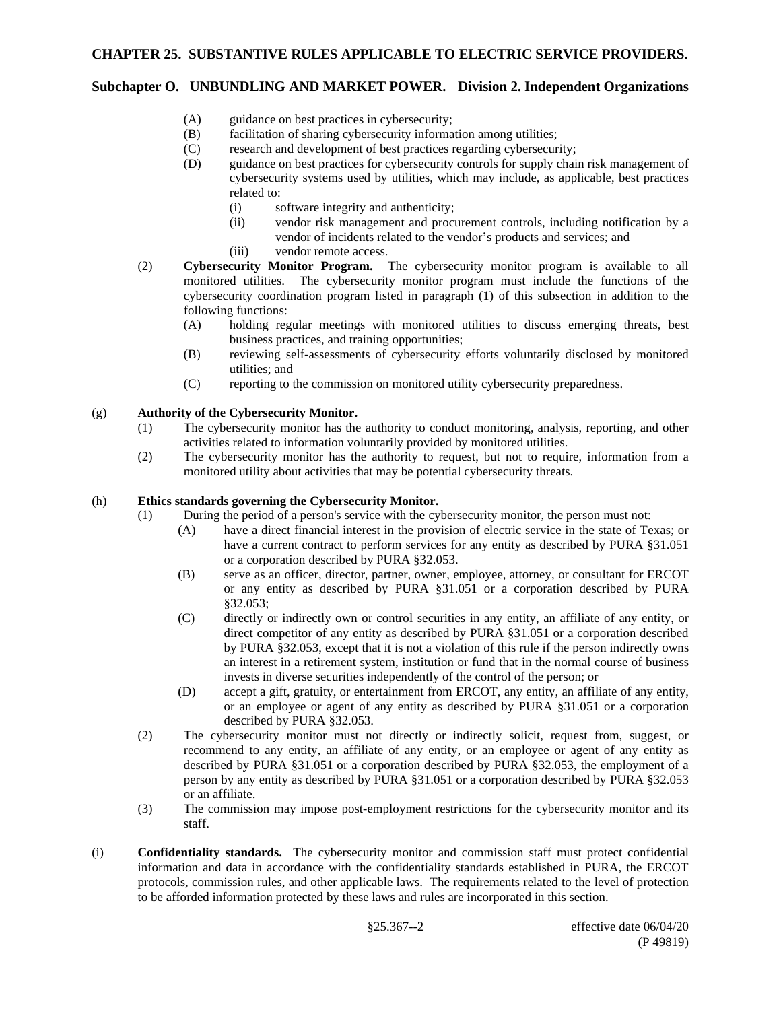# **Subchapter O. UNBUNDLING AND MARKET POWER. Division 2. Independent Organizations**

- (A) guidance on best practices in cybersecurity;
- (B) facilitation of sharing cybersecurity information among utilities;
- (C) research and development of best practices regarding cybersecurity;
- (D) guidance on best practices for cybersecurity controls for supply chain risk management of cybersecurity systems used by utilities, which may include, as applicable, best practices related to:
	- (i) software integrity and authenticity;
	- (ii) vendor risk management and procurement controls, including notification by a vendor of incidents related to the vendor's products and services; and
	- (iii) vendor remote access.
- (2) **Cybersecurity Monitor Program.** The cybersecurity monitor program is available to all monitored utilities. The cybersecurity monitor program must include the functions of the cybersecurity coordination program listed in paragraph (1) of this subsection in addition to the following functions:
	- (A) holding regular meetings with monitored utilities to discuss emerging threats, best business practices, and training opportunities;
	- (B) reviewing self-assessments of cybersecurity efforts voluntarily disclosed by monitored utilities; and
	- (C) reporting to the commission on monitored utility cybersecurity preparedness.

### (g) **Authority of the Cybersecurity Monitor.**

- (1) The cybersecurity monitor has the authority to conduct monitoring, analysis, reporting, and other activities related to information voluntarily provided by monitored utilities.
- (2) The cybersecurity monitor has the authority to request, but not to require, information from a monitored utility about activities that may be potential cybersecurity threats.

## (h) **Ethics standards governing the Cybersecurity Monitor.**

- (1) During the period of a person's service with the cybersecurity monitor, the person must not:
	- (A) have a direct financial interest in the provision of electric service in the state of Texas; or have a current contract to perform services for any entity as described by PURA §31.051 or a corporation described by PURA §32.053.
	- (B) serve as an officer, director, partner, owner, employee, attorney, or consultant for ERCOT or any entity as described by PURA §31.051 or a corporation described by PURA §32.053;
	- (C) directly or indirectly own or control securities in any entity, an affiliate of any entity, or direct competitor of any entity as described by PURA §31.051 or a corporation described by PURA §32.053, except that it is not a violation of this rule if the person indirectly owns an interest in a retirement system, institution or fund that in the normal course of business invests in diverse securities independently of the control of the person; or
	- (D) accept a gift, gratuity, or entertainment from ERCOT, any entity, an affiliate of any entity, or an employee or agent of any entity as described by PURA §31.051 or a corporation described by PURA §32.053.
	- (2) The cybersecurity monitor must not directly or indirectly solicit, request from, suggest, or recommend to any entity, an affiliate of any entity, or an employee or agent of any entity as described by PURA §31.051 or a corporation described by PURA §32.053, the employment of a person by any entity as described by PURA §31.051 or a corporation described by PURA §32.053 or an affiliate.
	- (3) The commission may impose post-employment restrictions for the cybersecurity monitor and its staff.
- (i) **Confidentiality standards.** The cybersecurity monitor and commission staff must protect confidential information and data in accordance with the confidentiality standards established in PURA, the ERCOT protocols, commission rules, and other applicable laws. The requirements related to the level of protection to be afforded information protected by these laws and rules are incorporated in this section.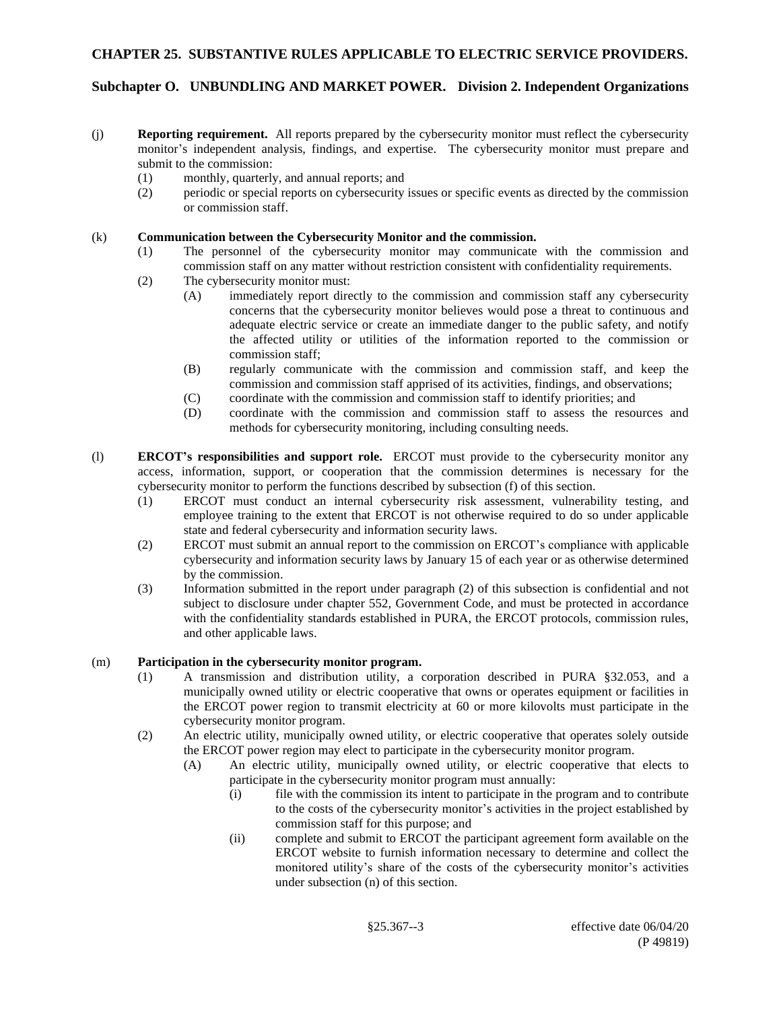# **Subchapter O. UNBUNDLING AND MARKET POWER. Division 2. Independent Organizations**

- (j) **Reporting requirement.** All reports prepared by the cybersecurity monitor must reflect the cybersecurity monitor's independent analysis, findings, and expertise. The cybersecurity monitor must prepare and submit to the commission:
	- (1) monthly, quarterly, and annual reports; and
	- (2) periodic or special reports on cybersecurity issues or specific events as directed by the commission or commission staff.

#### (k) **Communication between the Cybersecurity Monitor and the commission.**

- (1) The personnel of the cybersecurity monitor may communicate with the commission and commission staff on any matter without restriction consistent with confidentiality requirements.
- (2) The cybersecurity monitor must:
	- (A) immediately report directly to the commission and commission staff any cybersecurity concerns that the cybersecurity monitor believes would pose a threat to continuous and adequate electric service or create an immediate danger to the public safety, and notify the affected utility or utilities of the information reported to the commission or commission staff;
	- (B) regularly communicate with the commission and commission staff, and keep the commission and commission staff apprised of its activities, findings, and observations;
	- (C) coordinate with the commission and commission staff to identify priorities; and
	- (D) coordinate with the commission and commission staff to assess the resources and methods for cybersecurity monitoring, including consulting needs.
- (l) **ERCOT's responsibilities and support role.** ERCOT must provide to the cybersecurity monitor any access, information, support, or cooperation that the commission determines is necessary for the cybersecurity monitor to perform the functions described by subsection (f) of this section.
	- (1) ERCOT must conduct an internal cybersecurity risk assessment, vulnerability testing, and employee training to the extent that ERCOT is not otherwise required to do so under applicable state and federal cybersecurity and information security laws.
	- (2) ERCOT must submit an annual report to the commission on ERCOT's compliance with applicable cybersecurity and information security laws by January 15 of each year or as otherwise determined by the commission.
	- (3) Information submitted in the report under paragraph (2) of this subsection is confidential and not subject to disclosure under chapter 552, Government Code, and must be protected in accordance with the confidentiality standards established in PURA, the ERCOT protocols, commission rules, and other applicable laws.

### (m) **Participation in the cybersecurity monitor program.**

- (1) A transmission and distribution utility, a corporation described in PURA §32.053, and a municipally owned utility or electric cooperative that owns or operates equipment or facilities in the ERCOT power region to transmit electricity at 60 or more kilovolts must participate in the cybersecurity monitor program.
- (2) An electric utility, municipally owned utility, or electric cooperative that operates solely outside the ERCOT power region may elect to participate in the cybersecurity monitor program.
	- (A) An electric utility, municipally owned utility, or electric cooperative that elects to participate in the cybersecurity monitor program must annually:
		- (i) file with the commission its intent to participate in the program and to contribute to the costs of the cybersecurity monitor's activities in the project established by commission staff for this purpose; and
		- (ii) complete and submit to ERCOT the participant agreement form available on the ERCOT website to furnish information necessary to determine and collect the monitored utility's share of the costs of the cybersecurity monitor's activities under subsection (n) of this section.